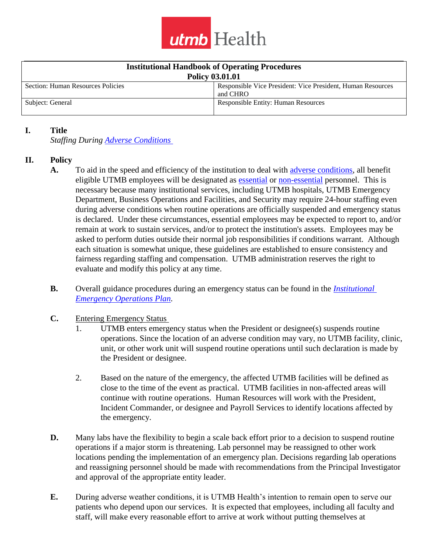

| <b>Institutional Handbook of Operating Procedures</b> |                                                                         |
|-------------------------------------------------------|-------------------------------------------------------------------------|
| <b>Policy 03.01.01</b>                                |                                                                         |
| Section: Human Resources Policies                     | Responsible Vice President: Vice President, Human Resources<br>and CHRO |
| Subject: General                                      | <b>Responsible Entity: Human Resources</b>                              |

#### **I. Title**

*Staffing During [Adverse Conditions](#page-4-0)* 

### **II. Policy**

- **A.** To aid in the speed and efficiency of the institution to deal with [adverse conditions,](#page-4-0) all benefit eligible UTMB employees will be designated as [essential](#page-4-1) or [non-essential](#page-4-2) personnel. This is necessary because many institutional services, including UTMB hospitals, UTMB Emergency Department, Business Operations and Facilities, and Security may require 24-hour staffing even during adverse conditions when routine operations are officially suspended and emergency status is declared. Under these circumstances, essential employees may be expected to report to, and/or remain at work to sustain services, and/or to protect the institution's assets. Employees may be asked to perform duties outside their normal job responsibilities if conditions warrant. Although each situation is somewhat unique, these guidelines are established to ensure consistency and fairness regarding staffing and compensation. UTMB administration reserves the right to evaluate and modify this policy at any time.
- **B.** Overall guidance procedures during an emergency status can be found in the *[Institutional](http://www.utmb.edu/emergency_plan/)  [Emergency Operations Plan.](http://www.utmb.edu/emergency_plan/)*
- **C.** Entering Emergency Status
	- 1. UTMB enters emergency status when the President or designee(s) suspends routine operations. Since the location of an adverse condition may vary, no UTMB facility, clinic, unit, or other work unit will suspend routine operations until such declaration is made by the President or designee.
	- 2. Based on the nature of the emergency, the affected UTMB facilities will be defined as close to the time of the event as practical. UTMB facilities in non-affected areas will continue with routine operations. Human Resources will work with the President, Incident Commander, or designee and Payroll Services to identify locations affected by the emergency.
- **D.** Many labs have the flexibility to begin a scale back effort prior to a decision to suspend routine operations if a major storm is threatening. Lab personnel may be reassigned to other work locations pending the implementation of an emergency plan. Decisions regarding lab operations and reassigning personnel should be made with recommendations from the Principal Investigator and approval of the appropriate entity leader.
- **E.** During adverse weather conditions, it is UTMB Health's intention to remain open to serve our patients who depend upon our services. It is expected that employees, including all faculty and staff, will make every reasonable effort to arrive at work without putting themselves at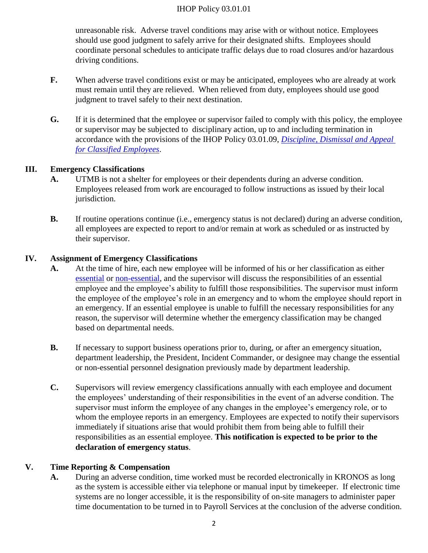unreasonable risk. Adverse travel conditions may arise with or without notice. Employees should use good judgment to safely arrive for their designated shifts. Employees should coordinate personal schedules to anticipate traffic delays due to road closures and/or hazardous driving conditions.

- **F.** When adverse travel conditions exist or may be anticipated, employees who are already at work must remain until they are relieved. When relieved from duty, employees should use good judgment to travel safely to their next destination.
- **G.** If it is determined that the employee or supervisor failed to comply with this policy, the employee or supervisor may be subjected to disciplinary action, up to and including termination in accordance with the provisions of the IHOP Policy 03.01.09, *[Discipline, Dismissal and Appeal](http://intranet.utmb.edu/Policies_And_Procedures/Search_Results/PNP_051873)  [for Classified Employees](http://intranet.utmb.edu/Policies_And_Procedures/Search_Results/PNP_051873)*.

### **III. Emergency Classifications**

- **A.** UTMB is not a shelter for employees or their dependents during an adverse condition. Employees released from work are encouraged to follow instructions as issued by their local jurisdiction.
- **B.** If routine operations continue (i.e., emergency status is not declared) during an adverse condition, all employees are expected to report to and/or remain at work as scheduled or as instructed by their supervisor.

### **IV. Assignment of Emergency Classifications**

- **A.** At the time of hire, each new employee will be informed of his or her classification as either [essential](#page-4-1) or [non-essential,](#page-4-2) and the supervisor will discuss the responsibilities of an essential employee and the employee's ability to fulfill those responsibilities. The supervisor must inform the employee of the employee's role in an emergency and to whom the employee should report in an emergency. If an essential employee is unable to fulfill the necessary responsibilities for any reason, the supervisor will determine whether the emergency classification may be changed based on departmental needs.
- **B.** If necessary to support business operations prior to, during, or after an emergency situation, department leadership, the President, Incident Commander, or designee may change the essential or non-essential personnel designation previously made by department leadership.
- **C.** Supervisors will review emergency classifications annually with each employee and document the employees' understanding of their responsibilities in the event of an adverse condition. The supervisor must inform the employee of any changes in the employee's emergency role, or to whom the employee reports in an emergency. Employees are expected to notify their supervisors immediately if situations arise that would prohibit them from being able to fulfill their responsibilities as an essential employee. **This notification is expected to be prior to the declaration of emergency status**.

### **V. Time Reporting & Compensation**

**A.** During an adverse condition, time worked must be recorded electronically in KRONOS as long as the system is accessible either via telephone or manual input by timekeeper. If electronic time systems are no longer accessible, it is the responsibility of on-site managers to administer paper time documentation to be turned in to Payroll Services at the conclusion of the adverse condition.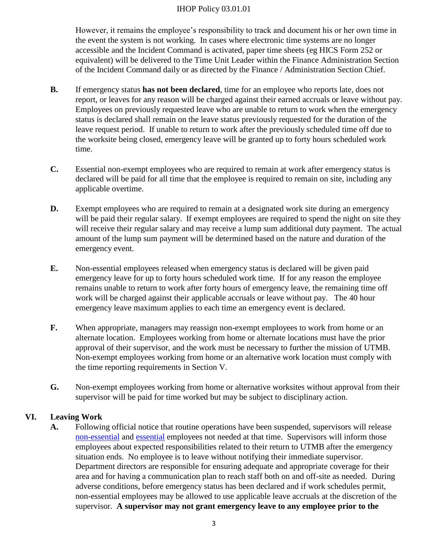However, it remains the employee's responsibility to track and document his or her own time in the event the system is not working. In cases where electronic time systems are no longer accessible and the Incident Command is activated, paper time sheets (eg HICS Form 252 or equivalent) will be delivered to the Time Unit Leader within the Finance Administration Section of the Incident Command daily or as directed by the Finance / Administration Section Chief.

- **B.** If emergency status **has not been declared**, time for an employee who reports late, does not report, or leaves for any reason will be charged against their earned accruals or leave without pay. Employees on previously requested leave who are unable to return to work when the emergency status is declared shall remain on the leave status previously requested for the duration of the leave request period. If unable to return to work after the previously scheduled time off due to the worksite being closed, emergency leave will be granted up to forty hours scheduled work time.
- **C.** Essential non-exempt employees who are required to remain at work after emergency status is declared will be paid for all time that the employee is required to remain on site, including any applicable overtime.
- **D.** Exempt employees who are required to remain at a designated work site during an emergency will be paid their regular salary. If exempt employees are required to spend the night on site they will receive their regular salary and may receive a lump sum additional duty payment. The actual amount of the lump sum payment will be determined based on the nature and duration of the emergency event.
- **E.** Non-essential employees released when emergency status is declared will be given paid emergency leave for up to forty hours scheduled work time. If for any reason the employee remains unable to return to work after forty hours of emergency leave, the remaining time off work will be charged against their applicable accruals or leave without pay. The 40 hour emergency leave maximum applies to each time an emergency event is declared.
- **F.** When appropriate, managers may reassign non-exempt employees to work from home or an alternate location. Employees working from home or alternate locations must have the prior approval of their supervisor, and the work must be necessary to further the mission of UTMB. Non-exempt employees working from home or an alternative work location must comply with the time reporting requirements in Section V.
- **G.** Non-exempt employees working from home or alternative worksites without approval from their supervisor will be paid for time worked but may be subject to disciplinary action.

# **VI. Leaving Work**

**A.** Following official notice that routine operations have been suspended, supervisors will release [non-essential](#page-4-2) and [essential](#page-4-1) employees not needed at that time. Supervisors will inform those employees about expected responsibilities related to their return to UTMB after the emergency situation ends. No employee is to leave without notifying their immediate supervisor. Department directors are responsible for ensuring adequate and appropriate coverage for their area and for having a communication plan to reach staff both on and off-site as needed. During adverse conditions, before emergency status has been declared and if work schedules permit, non-essential employees may be allowed to use applicable leave accruals at the discretion of the supervisor. **A supervisor may not grant emergency leave to any employee prior to the**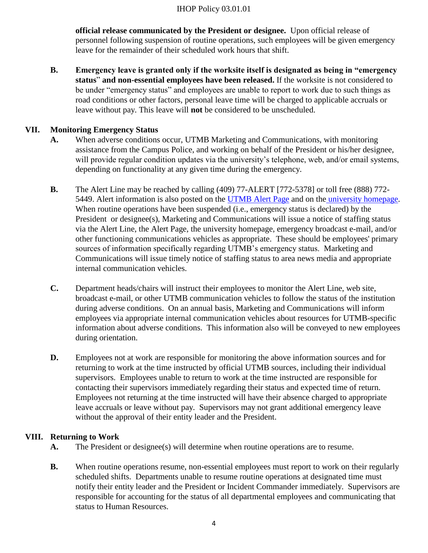**official release communicated by the President or designee.** Upon official release of personnel following suspension of routine operations, such employees will be given emergency leave for the remainder of their scheduled work hours that shift.

**B. Emergency leave is granted only if the worksite itself is designated as being in "emergency status**" **and non-essential employees have been released.** If the worksite is not considered to be under "emergency status" and employees are unable to report to work due to such things as road conditions or other factors, personal leave time will be charged to applicable accruals or leave without pay. This leave will **not** be considered to be unscheduled.

### **VII. Monitoring Emergency Status**

- **A.** When adverse conditions occur, UTMB Marketing and Communications, with monitoring assistance from the Campus Police, and working on behalf of the President or his/her designee, will provide regular condition updates via the university's telephone, web, and/or email systems, depending on functionality at any given time during the emergency.
- **B.** The Alert Line may be reached by calling (409) 77-ALERT [772-5378] or toll free (888) 772- 5449. Alert information is also posted on the [UTMB Alert Page](http://intranet.utmb.edu/alert/) and on the [university homepage.](http://..www.utmb.edu/) When routine operations have been suspended (i.e., emergency status is declared) by the President or designee(s), Marketing and Communications will issue a notice of staffing status via the Alert Line, the Alert Page, the university homepage, emergency broadcast e-mail, and/or other functioning communications vehicles as appropriate. These should be employees' primary sources of information specifically regarding UTMB's emergency status. Marketing and Communications will issue timely notice of staffing status to area news media and appropriate internal communication vehicles.
- **C.** Department heads/chairs will instruct their employees to monitor the Alert Line, web site, broadcast e-mail, or other UTMB communication vehicles to follow the status of the institution during adverse conditions. On an annual basis, Marketing and Communications will inform employees via appropriate internal communication vehicles about resources for UTMB-specific information about adverse conditions. This information also will be conveyed to new employees during orientation.
- **D.** Employees not at work are responsible for monitoring the above information sources and for returning to work at the time instructed by official UTMB sources, including their individual supervisors. Employees unable to return to work at the time instructed are responsible for contacting their supervisors immediately regarding their status and expected time of return. Employees not returning at the time instructed will have their absence charged to appropriate leave accruals or leave without pay. Supervisors may not grant additional emergency leave without the approval of their entity leader and the President.

### **VIII. Returning to Work**

- **A.** The President or designee(s) will determine when routine operations are to resume.
- **B.** When routine operations resume, non-essential employees must report to work on their regularly scheduled shifts. Departments unable to resume routine operations at designated time must notify their entity leader and the President or Incident Commander immediately. Supervisors are responsible for accounting for the status of all departmental employees and communicating that status to Human Resources.